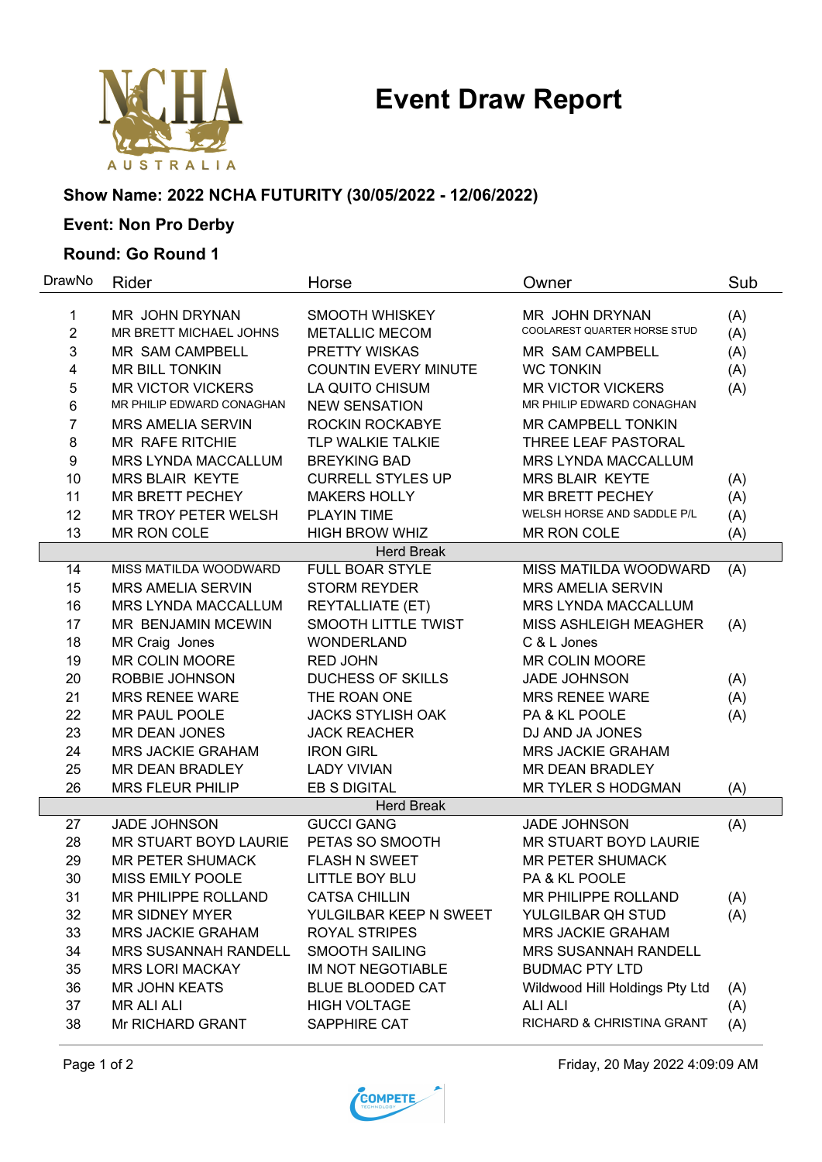# **Event Draw Report**



## **Show Name: 2022 NCHA FUTURITY (30/05/2022 - 12/06/2022)**

## **Event: Non Pro Derby**

#### **Round: Go Round 1**

| DrawNo         | Rider                       | Horse                       | Owner                          | Sub |
|----------------|-----------------------------|-----------------------------|--------------------------------|-----|
| 1              | <b>MR JOHN DRYNAN</b>       | SMOOTH WHISKEY              | <b>MR JOHN DRYNAN</b>          | (A) |
| $\overline{2}$ | MR BRETT MICHAEL JOHNS      | <b>METALLIC MECOM</b>       | COOLAREST QUARTER HORSE STUD   | (A) |
| 3              | <b>MR SAM CAMPBELL</b>      | PRETTY WISKAS               | <b>MR SAM CAMPBELL</b>         | (A) |
| 4              | <b>MR BILL TONKIN</b>       | <b>COUNTIN EVERY MINUTE</b> | <b>WC TONKIN</b>               | (A) |
| 5              | <b>MR VICTOR VICKERS</b>    | LA QUITO CHISUM             | <b>MR VICTOR VICKERS</b>       | (A) |
| 6              | MR PHILIP EDWARD CONAGHAN   | <b>NEW SENSATION</b>        | MR PHILIP EDWARD CONAGHAN      |     |
| 7              | <b>MRS AMELIA SERVIN</b>    | ROCKIN ROCKABYE             | MR CAMPBELL TONKIN             |     |
| 8              | <b>MR RAFE RITCHIE</b>      | <b>TLP WALKIE TALKIE</b>    | THREE LEAF PASTORAL            |     |
| 9              | MRS LYNDA MACCALLUM         | <b>BREYKING BAD</b>         | MRS LYNDA MACCALLUM            |     |
| 10             | <b>MRS BLAIR KEYTE</b>      | <b>CURRELL STYLES UP</b>    | <b>MRS BLAIR KEYTE</b>         | (A) |
| 11             | MR BRETT PECHEY             | <b>MAKERS HOLLY</b>         | <b>MR BRETT PECHEY</b>         | (A) |
| 12             | MR TROY PETER WELSH         | <b>PLAYIN TIME</b>          | WELSH HORSE AND SADDLE P/L     | (A) |
| 13             | MR RON COLE                 | <b>HIGH BROW WHIZ</b>       | MR RON COLE                    | (A) |
|                |                             | <b>Herd Break</b>           |                                |     |
| 14             | MISS MATILDA WOODWARD       | FULL BOAR STYLE             | MISS MATILDA WOODWARD          | (A) |
| 15             | <b>MRS AMELIA SERVIN</b>    | <b>STORM REYDER</b>         | <b>MRS AMELIA SERVIN</b>       |     |
| 16             | MRS LYNDA MACCALLUM         | <b>REYTALLIATE (ET)</b>     | MRS LYNDA MACCALLUM            |     |
| 17             | MR BENJAMIN MCEWIN          | <b>SMOOTH LITTLE TWIST</b>  | MISS ASHLEIGH MEAGHER          | (A) |
| 18             | <b>MR Craig Jones</b>       | <b>WONDERLAND</b>           | C & L Jones                    |     |
| 19             | <b>MR COLIN MOORE</b>       | <b>RED JOHN</b>             | <b>MR COLIN MOORE</b>          |     |
| 20             | ROBBIE JOHNSON              | <b>DUCHESS OF SKILLS</b>    | <b>JADE JOHNSON</b>            | (A) |
| 21             | <b>MRS RENEE WARE</b>       | THE ROAN ONE                | <b>MRS RENEE WARE</b>          | (A) |
| 22             | <b>MR PAUL POOLE</b>        | <b>JACKS STYLISH OAK</b>    | PA & KL POOLE                  | (A) |
| 23             | <b>MR DEAN JONES</b>        | <b>JACK REACHER</b>         | DJ AND JA JONES                |     |
| 24             | <b>MRS JACKIE GRAHAM</b>    | <b>IRON GIRL</b>            | <b>MRS JACKIE GRAHAM</b>       |     |
| 25             | <b>MR DEAN BRADLEY</b>      | <b>LADY VIVIAN</b>          | MR DEAN BRADLEY                |     |
| 26             | <b>MRS FLEUR PHILIP</b>     | <b>EB S DIGITAL</b>         | <b>MR TYLER S HODGMAN</b>      | (A) |
|                |                             | <b>Herd Break</b>           |                                |     |
| 27             | <b>JADE JOHNSON</b>         | <b>GUCCI GANG</b>           | JADE JOHNSON                   | (A) |
| 28             | MR STUART BOYD LAURIE       | PETAS SO SMOOTH             | MR STUART BOYD LAURIE          |     |
| 29             | <b>MR PETER SHUMACK</b>     | <b>FLASH N SWEET</b>        | <b>MR PETER SHUMACK</b>        |     |
| 30             | <b>MISS EMILY POOLE</b>     | <b>LITTLE BOY BLU</b>       | PA & KL POOLE                  |     |
| 31             | <b>MR PHILIPPE ROLLAND</b>  | <b>CATSA CHILLIN</b>        | <b>MR PHILIPPE ROLLAND</b>     | (A) |
| 32             | <b>MR SIDNEY MYER</b>       | YULGILBAR KEEP N SWEET      | YULGILBAR QH STUD              | (A) |
| 33             | <b>MRS JACKIE GRAHAM</b>    | ROYAL STRIPES               | <b>MRS JACKIE GRAHAM</b>       |     |
| 34             | <b>MRS SUSANNAH RANDELL</b> | <b>SMOOTH SAILING</b>       | <b>MRS SUSANNAH RANDELL</b>    |     |
| 35             | <b>MRS LORI MACKAY</b>      | <b>IM NOT NEGOTIABLE</b>    | <b>BUDMAC PTY LTD</b>          |     |
| 36             | <b>MR JOHN KEATS</b>        | <b>BLUE BLOODED CAT</b>     | Wildwood Hill Holdings Pty Ltd | (A) |
| 37             | <b>MR ALI ALI</b>           | <b>HIGH VOLTAGE</b>         | <b>ALI ALI</b>                 | (A) |
| 38             | Mr RICHARD GRANT            | SAPPHIRE CAT                | RICHARD & CHRISTINA GRANT      | (A) |